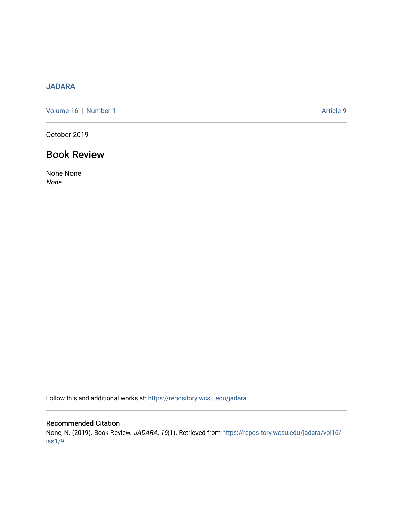## [JADARA](https://repository.wcsu.edu/jadara)

[Volume 16](https://repository.wcsu.edu/jadara/vol16) | [Number 1](https://repository.wcsu.edu/jadara/vol16/iss1) Article 9

October 2019

# Book Review

None None None

Follow this and additional works at: [https://repository.wcsu.edu/jadara](https://repository.wcsu.edu/jadara?utm_source=repository.wcsu.edu%2Fjadara%2Fvol16%2Fiss1%2F9&utm_medium=PDF&utm_campaign=PDFCoverPages)

### Recommended Citation

None, N. (2019). Book Review. JADARA, 16(1). Retrieved from [https://repository.wcsu.edu/jadara/vol16/](https://repository.wcsu.edu/jadara/vol16/iss1/9?utm_source=repository.wcsu.edu%2Fjadara%2Fvol16%2Fiss1%2F9&utm_medium=PDF&utm_campaign=PDFCoverPages) [iss1/9](https://repository.wcsu.edu/jadara/vol16/iss1/9?utm_source=repository.wcsu.edu%2Fjadara%2Fvol16%2Fiss1%2F9&utm_medium=PDF&utm_campaign=PDFCoverPages)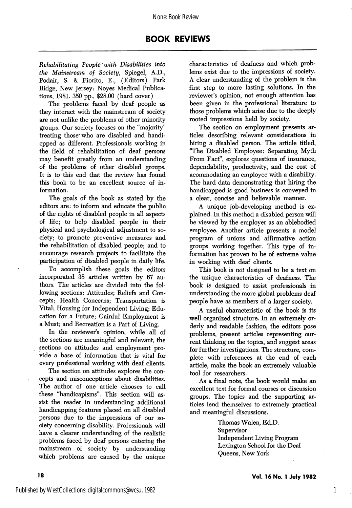### BOOK REVIEWS

Rehabilitating People with Disabilities into the Mainstream of Society, Spiegel, A.D., Podair, S. & Fiorito, E., (Editors) Park Ridge, New Jersey: Noyes Medical Publica tions, 1981. 350 pp., \$28.00 (hard cover)

The problems faced by deaf people as they interact with the mainstream of society are not unlike the problems of other minority groups. Our society focuses on the "majority'' treating those who are disabled and handicpped as different. Professionals working in the field of rehabilitation of deaf persons may benefit greatly from an understanding of the problems of other disabled groups. It is to this end that the review has found this book to be an excellent source of in formation.

The goals of the book as stated by the editors are: to inform and educate the public of the rights of disabled people in all aspects of life; to help disabled people in their physical and psychological adjustment to so ciety; to promote preventive measures and the rehabilitation of disabled people; and to encourage research projects to facilitate the participation of disabled people in daily life.

To accomplish these goals the editors incorporated 38 articles written by 67 au thors. The articles are divided into the fol lowing sections: Attitudes; Reliefs and Con cepts; Health Concerns; Transportation is Vital; Housing for Independent Living; Edu cation for a Future; Gainful Employment is a Must; and Recreation is a Part of Living.

In the reviewer's opinion, while all of the sections are meaningful and relevant, the sections on attitudes and employment pro vide a base of information that is vital for every professional working with deaf clients.

The section on attitudes explores the con cepts and misconceptions about disabilities. The author of one article chooses to call these "handicapisms". This section will as sist the reader in understanding additional handicapping features placed on all disabled persons due to the impressions of our so ciety concerning disability. Professionals will have a clearer understanding of the realistic problems faced by deaf persons entering the mainstream of society by understanding which problems are caused by the unique

characteristics of deafness and which prob lems exist due to the impressions of society. A clear understanding of the problem is the first step to more lasting solutions. In the reviewer's opinion, not enough attention has been given in the professional literature to those problems which arise due to the deeply rooted impressions held by society.

The section on employment presents ar ticles describing relevant considerations in hiring a disabled person. The article titled, "The Disabled Employee: Separating Myth From Fact", explores questions of insurance, dependability, productivity, and the cost of acommodating an employee with a disability. The hard data demonstrating that hiring the handicapped is good business is conveyed in a clear, concise and believable manner.

A unique job-developing method is ex plained. In this method a disabled person will be viewed by the employer as an ablebodied employee. Another article presents a model program of unions and affirmative action groups working together. This type of in formation has proven to be of extreme value in working with deaf clients.

This book is not designed to be a text on the unique characteristics of deafness. The book is designed to assist professionals in understanding the more global problems deaf people have as members of a larger society.

A useful characteristic of the book is its well organized structure. In an extremely or derly and readable fashion, the editors pose problems, present articles representing cur rent thinking on the topics, and suggest areas for further investigations. The structure, com plete with references at the end of each article, make the book an extremely valuable tool for researchers.

As a final note, the book would make an excellent text for formal courses or discussion groups. The topics and the supporting ar ticles lend themselves to extremely practical and meaningful discussions.

> Thomas Walen, Ed.D. Supervisor Independent Living Program Lexington School for the Deaf Queens, New York

1